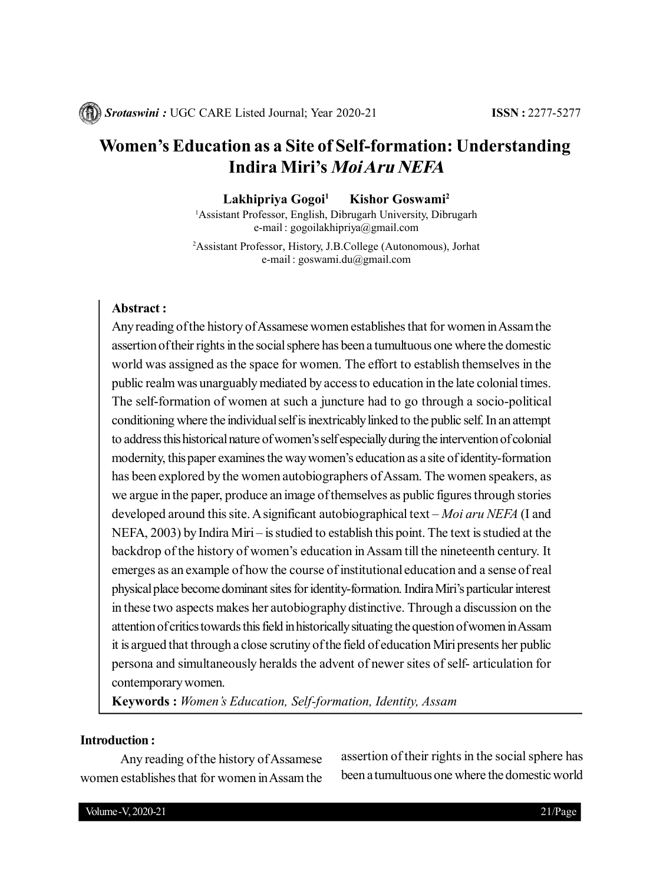# **Women's Education as a Site of Self-formation: Understanding Indira Miri's Moi Aru NEFA**

**Lakhipriya Gogoi<sup>1</sup> Kishor Goswami<sup>2</sup>**

<sup>1</sup>Assistant Professor, English, Dibrugarh University, Dibrugarh e-mail : gogoilakhipriya@gmail.com

<sup>2</sup>Assistant Professor, History, J.B.College (Autonomous), Jorhat e-mail : goswami.du@gmail.com

# **Abstract :**

Any reading of the history of Assamese women establishes that for women in Assam the assertion of their rights in the social sphere has been a tumultuous one where the domestic world was assigned as the space for women. The effort to establish themselves in the public realm was unarguably mediated by access to education in the late colonial times. The self-formation of women at such a juncture had to go through a socio-political conditioning where the individual self is inextricably linked to the public self. In an attempt to address this historical nature of women's self especially during the intervention of colonial modernity, this paper examines the way women's education as a site of identity-formation has been explored by the women autobiographers of Assam. The women speakers, as we argue in the paper, produce an image of themselves as public figures through stories developed around this site. A significant autobiographical text – *Moi aru NEFA* (I and NEFA, 2003) by Indira Miri – is studied to establish this point. The text is studied at the backdrop of the history of women's education in Assam till the nineteenth century. It emerges as an example of how the course of institutional education and a sense of real physical place become dominant sites for identity-formation. Indira Miri's particular interest in these two aspects makes her autobiography distinctive. Through a discussion on the attention of critics towards this field in historically situating the question of women in Assam it is argued that through a close scrutiny of the field of education Miri presents her public persona and simultaneously heralds the advent of newer sites of self- articulation for contemporary women.

**Keywords :** *Women's Education, Self-formation, Identity, Assam*

# **Introduction :**

Any reading of the history of Assamese women establishes that for women in Assam the assertion of their rights in the social sphere has been a tumultuous one where the domestic world

Volume -V, 2020-21 21/Page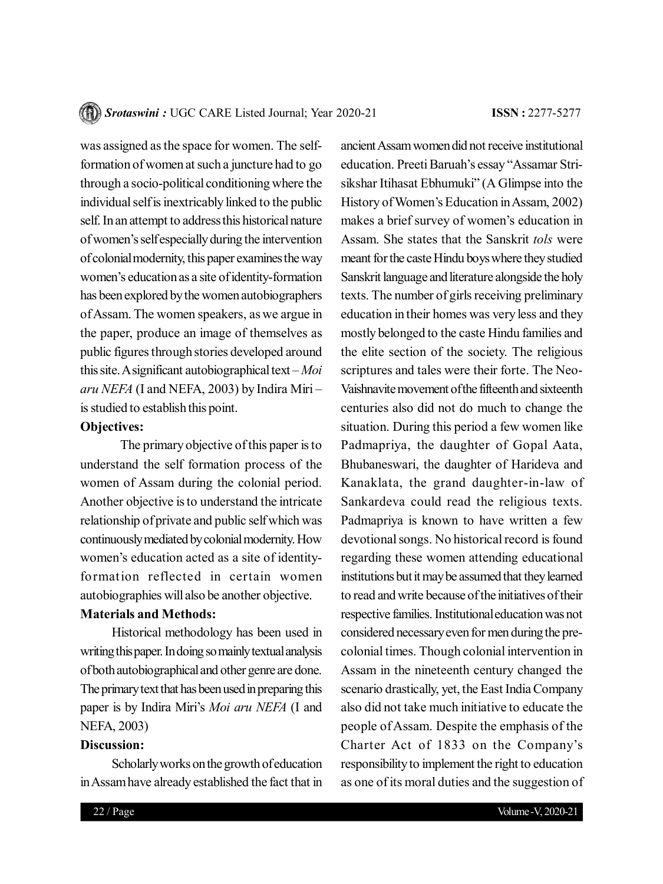was assigned as the space for women. The selfformation of women at such a juncture had to go through a socio-political conditioning where the individual self is inextricably linked to the public self. In an attempt to address this historical nature of women's self especially during the intervention of colonial modernity, this paper examines the way women's education as a site of identity-formation has been explored by the women autobiographers of Assam. The women speakers, as we argue in the paper, produce an image of themselves as public figures through stories developed around this site. A significant autobiographical text – *Moi aru NEFA* (I and NEFA, 2003) by Indira Miri – is studied to establish this point.

#### **Objectives:**

The primary objective of this paper is to understand the self formation process of the women of Assam during the colonial period. Another objective is to understand the intricate relationship of private and public self which was continuously mediated by colonial modernity. How women's education acted as a site of identityformation reflected in certain women autobiographies will also be another objective.

# **Materials and Methods:**

Historical methodology has been used in writing this paper. In doing so mainly textual analysis of both autobiographical and other genre are done. The primary text that has been used in preparing this paper is by Indira Miri's *Moi aru NEFA* (I and NEFA, 2003)

# **Discussion:**

Scholarly works on the growth of education in Assam have already established the fact that in

ancient Assam women did not receive institutional education. Preeti Baruah's essay "Assamar Strisikshar Itihasat Ebhumuki" (A Glimpse into the History of Women's Education in Assam, 2002) makes a brief survey of women's education in Assam. She states that the Sanskrit *tols* were meant for the caste Hindu boys where they studied Sanskrit language and literature alongside the holy texts. The number of girls receiving preliminary education in their homes was very less and they mostly belonged to the caste Hindu families and the elite section of the society. The religious scriptures and tales were their forte. The Neo-Vaishnavite movement of the fifteenth and sixteenth centuries also did not do much to change the situation. During this period a few women like Padmapriya, the daughter of Gopal Aata, Bhubaneswari, the daughter of Harideva and Kanaklata, the grand daughter-in-law of Sankardeva could read the religious texts. Padmapriya is known to have written a few devotional songs. No historical record is found regarding these women attending educational institutions but it may be assumed that they learned to read and write because of the initiatives of their respective families. Institutional education was not considered necessary even for men during the precolonial times. Though colonial intervention in Assam in the nineteenth century changed the scenario drastically, yet, the East India Company also did not take much initiative to educate the people of Assam. Despite the emphasis of the Charter Act of 1833 on the Company's responsibility to implement the right to education as one of its moral duties and the suggestion of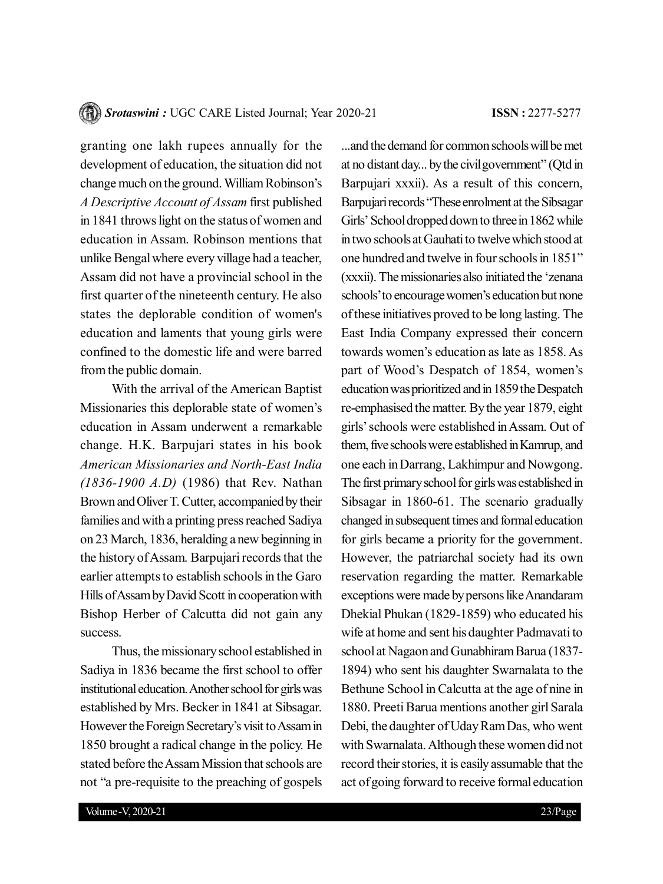granting one lakh rupees annually for the development of education, the situation did not change much on the ground. William Robinson's *A Descriptive Account of Assam* first published in 1841 throws light on the status of women and education in Assam. Robinson mentions that unlike Bengal where every village had a teacher, Assam did not have a provincial school in the first quarter of the nineteenth century. He also states the deplorable condition of women's education and laments that young girls were confined to the domestic life and were barred from the public domain.

With the arrival of the American Baptist Missionaries this deplorable state of women's education in Assam underwent a remarkable change. H.K. Barpujari states in his book *American Missionaries and North-East India (1836-1900 A.D)* (1986) that Rev. Nathan Brown and Oliver T. Cutter, accompanied by their families and with a printing press reached Sadiya on 23 March, 1836, heralding a new beginning in the history of Assam. Barpujari records that the earlier attempts to establish schools in the Garo Hills of Assam by David Scott in cooperation with Bishop Herber of Calcutta did not gain any success.

Thus, the missionary school established in Sadiya in 1836 became the first school to offer institutional education. Another school for girls was established by Mrs. Becker in 1841 at Sibsagar. However the Foreign Secretary's visit to Assam in 1850 brought a radical change in the policy. He stated before the Assam Mission that schools are not "a pre-requisite to the preaching of gospels ...and the demand for common schools will be met at no distant day... by the civil government" (Qtd in Barpujari xxxii). As a result of this concern, Barpujari records "These enrolment at the Sibsagar Girls' School dropped down to three in 1862 while in two schools at Gauhati to twelve which stood at one hundred and twelve in four schools in 1851" (xxxii). The missionaries also initiated the 'zenana schools' to encourage women's education but none of these initiatives proved to be long lasting. The East India Company expressed their concern towards women's education as late as 1858. As part of Wood's Despatch of 1854, women's education was prioritized and in 1859 the Despatch re-emphasised the matter. By the year 1879, eight girls' schools were established in Assam. Out of them, five schools were established in Kamrup, and one each in Darrang, Lakhimpur and Nowgong. The first primary school for girls was established in Sibsagar in 1860-61. The scenario gradually changed in subsequent times and formal education for girls became a priority for the government. However, the patriarchal society had its own reservation regarding the matter. Remarkable exceptions were made by persons like Anandaram Dhekial Phukan (1829-1859) who educated his wife at home and sent his daughter Padmavati to school at Nagaon and Gunabhiram Barua (1837- 1894) who sent his daughter Swarnalata to the Bethune School in Calcutta at the age of nine in 1880. Preeti Barua mentions another girl Sarala Debi, the daughter of Uday Ram Das, who went with Swarnalata. Although these women did not record their stories, it is easily assumable that the act of going forward to receive formal education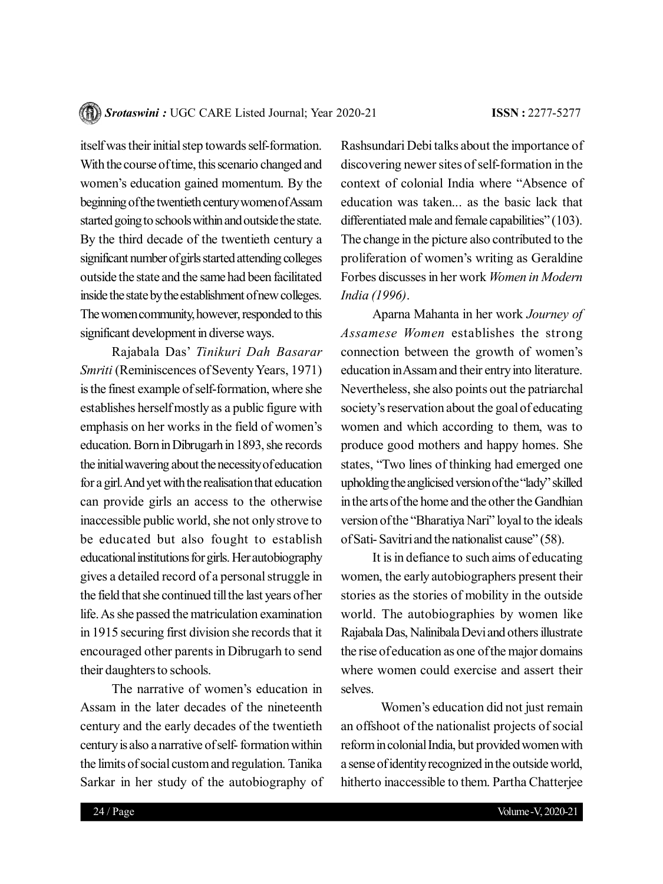itself was their initial step towards self-formation. With the course of time, this scenario changed and women's education gained momentum. By the beginning of the twentieth century women of Assam started going to schools within and outside the state. By the third decade of the twentieth century a significant number of girls started attending colleges outside the state and the same had been facilitated inside the state by the establishment of new colleges. The women community, however, responded to this significant development in diverse ways.

Rajabala Das' *Tinikuri Dah Basarar Smriti* (Reminiscences of Seventy Years, 1971) is the finest example of self-formation, where she establishes herself mostly as a public figure with emphasis on her works in the field of women's education. Born in Dibrugarh in 1893, she records the initial wavering about the necessity of education for a girl. And yet with the realisation that education can provide girls an access to the otherwise inaccessible public world, she not only strove to be educated but also fought to establish educational institutions for girls. Her autobiography gives a detailed record of a personal struggle in the field that she continued till the last years of her life. As she passed the matriculation examination in 1915 securing first division she records that it encouraged other parents in Dibrugarh to send their daughters to schools.

The narrative of women's education in Assam in the later decades of the nineteenth century and the early decades of the twentieth century is also a narrative of self- formation within the limits of social custom and regulation. Tanika Sarkar in her study of the autobiography of Rashsundari Debi talks about the importance of discovering newer sites of self-formation in the context of colonial India where "Absence of education was taken... as the basic lack that differentiated male and female capabilities" (103). The change in the picture also contributed to the proliferation of women's writing as Geraldine Forbes discusses in her work *Women in Modern India (1996)*.

Aparna Mahanta in her work *Journey of Assamese Women* establishes the strong connection between the growth of women's education in Assam and their entry into literature. Nevertheless, she also points out the patriarchal society's reservation about the goal of educating women and which according to them, was to produce good mothers and happy homes. She states, "Two lines of thinking had emerged one upholding the anglicised version of the "lady" skilled in the arts of the home and the other the Gandhian version of the "Bharatiya Nari" loyal to the ideals of Sati- Savitri and the nationalist cause" (58).

It is in defiance to such aims of educating women, the early autobiographers present their stories as the stories of mobility in the outside world. The autobiographies by women like Rajabala Das, Nalinibala Devi and others illustrate the rise of education as one of the major domains where women could exercise and assert their selves.

Women's education did not just remain an offshoot of the nationalist projects of social reform in colonial India, but provided women with a sense of identity recognized in the outside world, hitherto inaccessible to them. Partha Chatterjee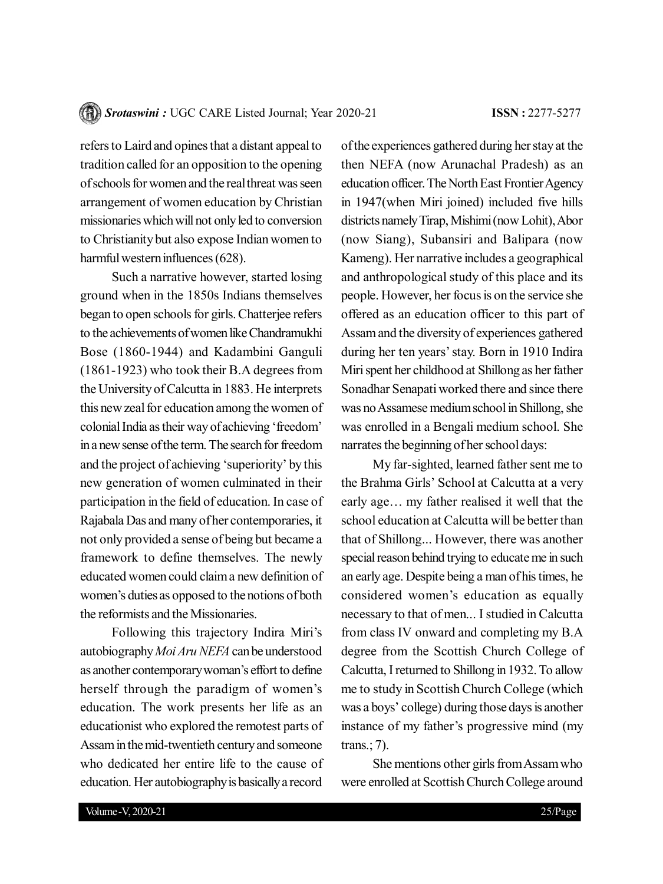refers to Laird and opines that a distant appeal to tradition called for an opposition to the opening of schools for women and the real threat was seen arrangement of women education by Christian missionaries which will not only led to conversion to Christianity but also expose Indian women to harmful western influences (628).

Such a narrative however, started losing ground when in the 1850s Indians themselves began to open schools for girls. Chatterjee refers to the achievements of women like Chandramukhi Bose (1860-1944) and Kadambini Ganguli (1861-1923) who took their B.A degrees from the University of Calcutta in 1883. He interprets this new zeal for education among the women of colonial India as their way of achieving 'freedom' in a new sense of the term. The search for freedom and the project of achieving 'superiority' by this new generation of women culminated in their participation in the field of education. In case of Rajabala Das and many of her contemporaries, it not only provided a sense of being but became a framework to define themselves. The newly educated women could claim a new definition of women's duties as opposed to the notions of both the reformists and the Missionaries.

Following this trajectory Indira Miri's autobiography *Moi Aru NEFA* can be understood as another contemporary woman's effort to define herself through the paradigm of women's education. The work presents her life as an educationist who explored the remotest parts of Assam in the mid-twentieth century and someone who dedicated her entire life to the cause of education. Her autobiography is basically a record of the experiences gathered during her stay at the then NEFA (now Arunachal Pradesh) as an education officer. The North East Frontier Agency in 1947(when Miri joined) included five hills districts namely Tirap, Mishimi (now Lohit), Abor (now Siang), Subansiri and Balipara (now Kameng). Her narrative includes a geographical and anthropological study of this place and its people. However, her focus is on the service she offered as an education officer to this part of Assam and the diversity of experiences gathered during her ten years' stay. Born in 1910 Indira Miri spent her childhood at Shillong as her father Sonadhar Senapati worked there and since there was no Assamese medium school in Shillong, she was enrolled in a Bengali medium school. She narrates the beginning of her school days:

My far-sighted, learned father sent me to the Brahma Girls' School at Calcutta at a very early age… my father realised it well that the school education at Calcutta will be better than that of Shillong... However, there was another special reason behind trying to educate me in such an early age. Despite being a man of his times, he considered women's education as equally necessary to that of men... I studied in Calcutta from class IV onward and completing my B.A degree from the Scottish Church College of Calcutta, I returned to Shillong in 1932. To allow me to study in Scottish Church College (which was a boys' college) during those days is another instance of my father's progressive mind (my trans.; 7).

She mentions other girls from Assam who were enrolled at Scottish Church College around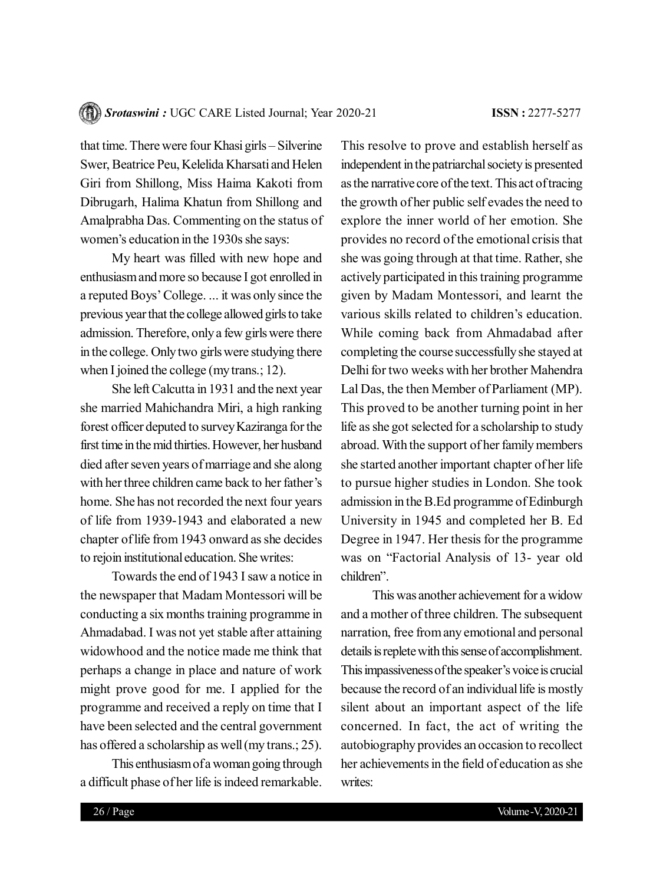that time. There were four Khasi girls – Silverine Swer, Beatrice Peu, Kelelida Kharsati and Helen Giri from Shillong, Miss Haima Kakoti from Dibrugarh, Halima Khatun from Shillong and Amalprabha Das. Commenting on the status of women's education in the 1930s she says:

My heart was filled with new hope and enthusiasm and more so because I got enrolled in a reputed Boys' College. ... it was only since the previous year that the college allowed girls to take admission. Therefore, only a few girls were there in the college. Only two girls were studying there when I joined the college (my trans.; 12).

She left Calcutta in 1931 and the next year she married Mahichandra Miri, a high ranking forest officer deputed to survey Kaziranga for the first time in the mid thirties. However, her husband died after seven years of marriage and she along with her three children came back to her father's home. She has not recorded the next four years of life from 1939-1943 and elaborated a new chapter of life from 1943 onward as she decides to rejoin institutional education. She writes:

Towards the end of 1943 I saw a notice in the newspaper that Madam Montessori will be conducting a six months training programme in Ahmadabad. I was not yet stable after attaining widowhood and the notice made me think that perhaps a change in place and nature of work might prove good for me. I applied for the programme and received a reply on time that I have been selected and the central government has offered a scholarship as well (my trans.; 25).

This enthusiasm of a woman going through a difficult phase of her life is indeed remarkable.

This resolve to prove and establish herself as independent in the patriarchal society is presented as the narrative core of the text. This act of tracing the growth of her public self evades the need to explore the inner world of her emotion. She provides no record of the emotional crisis that she was going through at that time. Rather, she actively participated in this training programme given by Madam Montessori, and learnt the various skills related to children's education. While coming back from Ahmadabad after completing the course successfully she stayed at Delhi for two weeks with her brother Mahendra Lal Das, the then Member of Parliament (MP). This proved to be another turning point in her life as she got selected for a scholarship to study abroad. With the support of her family members she started another important chapter of her life to pursue higher studies in London. She took admission in the B.Ed programme of Edinburgh University in 1945 and completed her B. Ed Degree in 1947. Her thesis for the programme was on "Factorial Analysis of 13- year old children".

This was another achievement for a widow and a mother of three children. The subsequent narration, free from any emotional and personal details is replete with this sense of accomplishment. This impassiveness of the speaker's voice is crucial because the record of an individual life is mostly silent about an important aspect of the life concerned. In fact, the act of writing the autobiography provides an occasion to recollect her achievements in the field of education as she writes: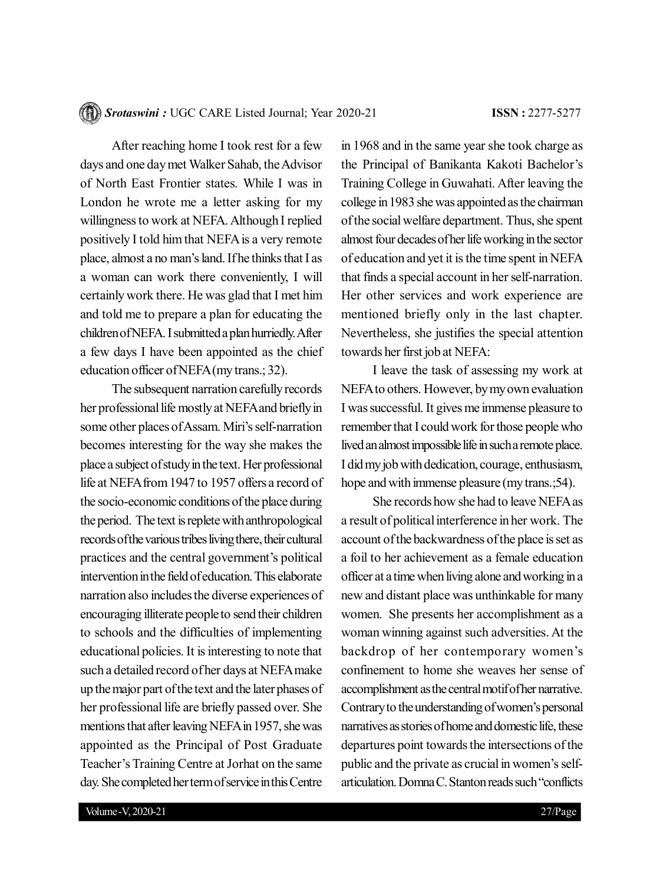After reaching home I took rest for a few days and one day met Walker Sahab, the Advisor of North East Frontier states. While I was in London he wrote me a letter asking for my willingness to work at NEFA. Although I replied positively I told him that NEFA is a very remote place, almost a no man's land. If he thinks that I as a woman can work there conveniently, I will certainly work there. He was glad that I met him and told me to prepare a plan for educating the children of NEFA. I submitted a plan hurriedly. After a few days I have been appointed as the chief education officer of NEFA (my trans.; 32).

The subsequent narration carefully records her professional life mostly at NEFA and briefly in some other places of Assam. Miri's self-narration becomes interesting for the way she makes the place a subject of study in the text. Her professional life at NEFA from 1947 to 1957 offers a record of the socio-economic conditions of the place during the period. The text is replete with anthropological records of the various tribes living there, their cultural practices and the central government's political intervention in the field of education. This elaborate narration also includes the diverse experiences of encouraging illiterate people to send their children to schools and the difficulties of implementing educational policies. It is interesting to note that such a detailed record of her days at NEFA make up the major part of the text and the later phases of her professional life are briefly passed over. She mentions that after leaving NEFA in 1957, she was appointed as the Principal of Post Graduate Teacher's Training Centre at Jorhat on the same day. She completed her term of service in this Centre

in 1968 and in the same year she took charge as the Principal of Banikanta Kakoti Bachelor's Training College in Guwahati. After leaving the college in 1983 she was appointed as the chairman of the social welfare department. Thus, she spent almost four decades of her life working in the sector of education and yet it is the time spent in NEFA that finds a special account in her self-narration. Her other services and work experience are mentioned briefly only in the last chapter. Nevertheless, she justifies the special attention towards her first job at NEFA:

I leave the task of assessing my work at NEFA to others. However, by my own evaluation I was successful. It gives me immense pleasure to remember that I could work for those people who lived an almost impossible life in such a remote place. I did my job with dedication, courage, enthusiasm, hope and with immense pleasure (my trans.; 54).

She records how she had to leave NEFA as a result of political interference in her work. The account of the backwardness of the place is set as a foil to her achievement as a female education officer at a time when living alone and working in a new and distant place was unthinkable for many women. She presents her accomplishment as a woman winning against such adversities. At the backdrop of her contemporary women's confinement to home she weaves her sense of accomplishment as the central motif of her narrative. Contrary to the understanding of women's personal narratives as stories of home and domestic life, these departures point towards the intersections of the public and the private as crucial in women's selfarticulation. Domna C. Stanton reads such "conflicts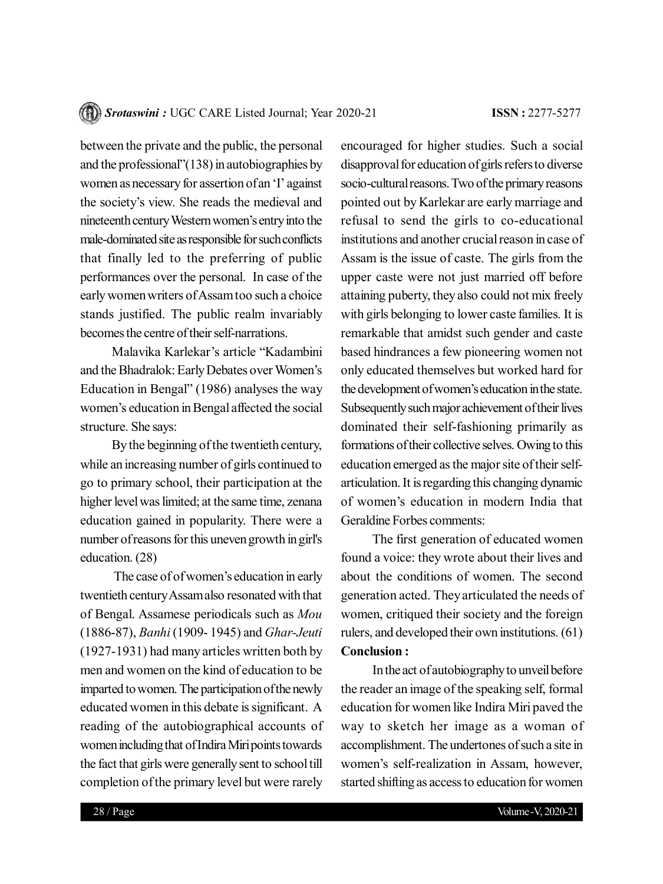between the private and the public, the personal and the professional"(138) in autobiographies by women as necessary for assertion of an 'I' against the society's view. She reads the medieval and nineteenth century Western women's entry into the male-dominated site as responsible for such conflicts that finally led to the preferring of public performances over the personal. In case of the early women writers of Assam too such a choice stands justified. The public realm invariably becomes the centre of their self-narrations.

Malavika Karlekar's article "Kadambini and the Bhadralok: Early Debates over Women's Education in Bengal" (1986) analyses the way women's education in Bengal affected the social structure. She says:

By the beginning of the twentieth century, while an increasing number of girls continued to go to primary school, their participation at the higher level was limited; at the same time, zenana education gained in popularity. There were a number of reasons for this uneven growth in girl's education. (28)

 The case of of women's education in early twentieth century Assam also resonated with that of Bengal. Assamese periodicals such as *Mou* (1886-87), *Banhi* (1909- 1945) and *Ghar-Jeuti* (1927-1931) had many articles written both by men and women on the kind of education to be imparted to women. The participation of the newly educated women in this debate is significant. A reading of the autobiographical accounts of women including that of Indira Miri points towards the fact that girls were generally sent to school till completion of the primary level but were rarely encouraged for higher studies. Such a social disapproval for education of girls refers to diverse socio-cultural reasons. Two of the primary reasons pointed out by Karlekar are early marriage and refusal to send the girls to co-educational institutions and another crucial reason in case of Assam is the issue of caste. The girls from the upper caste were not just married off before attaining puberty, they also could not mix freely with girls belonging to lower caste families. It is remarkable that amidst such gender and caste based hindrances a few pioneering women not only educated themselves but worked hard for the development of women's education in the state. Subsequently such major achievement of their lives dominated their self-fashioning primarily as formations of their collective selves. Owing to this education emerged as the major site of their selfarticulation. It is regarding this changing dynamic of women's education in modern India that Geraldine Forbes comments:

The first generation of educated women found a voice: they wrote about their lives and about the conditions of women. The second generation acted. They articulated the needs of women, critiqued their society and the foreign rulers, and developed their own institutions. (61) **Conclusion :**

In the act of autobiography to unveil before the reader an image of the speaking self, formal education for women like Indira Miri paved the way to sketch her image as a woman of accomplishment. The undertones of such a site in women's self-realization in Assam, however, started shifting as access to education for women